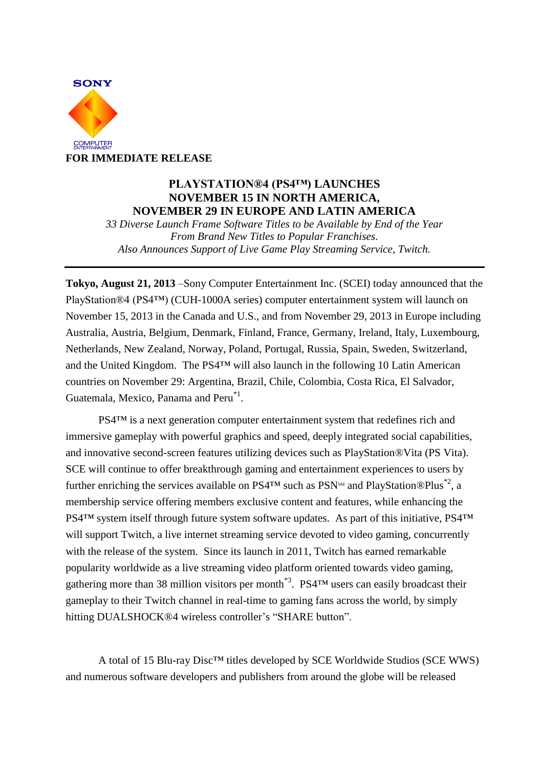

## **PLAYSTATION®4 (PS4™) LAUNCHES NOVEMBER 15 IN NORTH AMERICA, NOVEMBER 29 IN EUROPE AND LATIN AMERICA**

*33 Diverse Launch Frame Software Titles to be Available by End of the Year From Brand New Titles to Popular Franchises. Also Announces Support of Live Game Play Streaming Service, Twitch.*

**Tokyo, August 21, 2013** –Sony Computer Entertainment Inc. (SCEI) today announced that the PlayStation®4 (PS4™) (CUH-1000A series) computer entertainment system will launch on November 15, 2013 in the Canada and U.S., and from November 29, 2013 in Europe including Australia, Austria, Belgium, Denmark, Finland, France, Germany, Ireland, Italy, Luxembourg, Netherlands, New Zealand, Norway, Poland, Portugal, Russia, Spain, Sweden, Switzerland, and the United Kingdom. The PS4™ will also launch in the following 10 Latin American countries on November 29: Argentina, Brazil, Chile, Colombia, Costa Rica, El Salvador, Guatemala, Mexico, Panama and Peru<sup>\*1</sup>.

PS4™ is a next generation computer entertainment system that redefines rich and immersive gameplay with powerful graphics and speed, deeply integrated social capabilities, and innovative second-screen features utilizing devices such as PlayStation®Vita (PS Vita). SCE will continue to offer breakthrough gaming and entertainment experiences to users by further enriching the services available on PS4<sup>TM</sup> such as PSN<sup>SM</sup> and PlayStation®Plus<sup>\*2</sup>, a membership service offering members exclusive content and features, while enhancing the PS4<sup>™</sup> system itself through future system software updates. As part of this initiative, PS4<sup>™</sup> will support Twitch, a live internet streaming service devoted to video gaming, concurrently with the release of the system. Since its launch in 2011, Twitch has earned remarkable popularity worldwide as a live streaming video platform oriented towards video gaming, gathering more than 38 million visitors per month<sup>\*3</sup>. PS4<sup>TM</sup> users can easily broadcast their gameplay to their Twitch channel in real-time to gaming fans across the world, by simply hitting DUALSHOCK®4 wireless controller's "SHARE button".

A total of 15 Blu-ray Disc™ titles developed by SCE Worldwide Studios (SCE WWS) and numerous software developers and publishers from around the globe will be released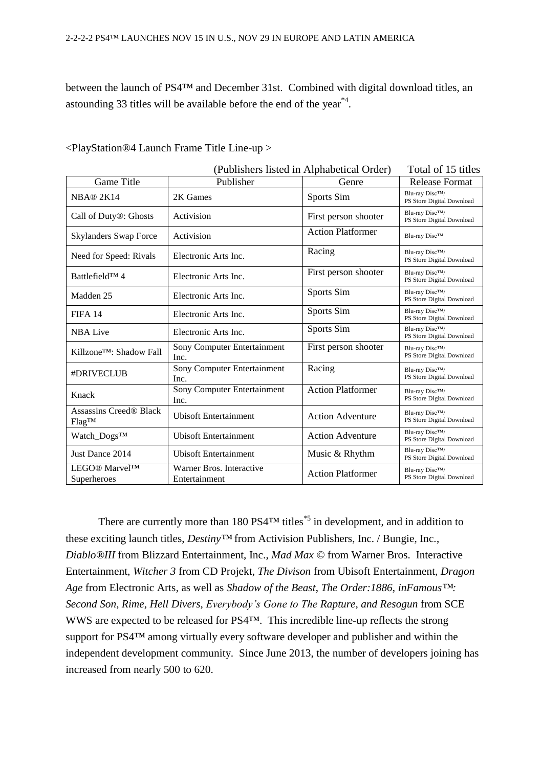between the launch of PS4™ and December 31st. Combined with digital download titles, an astounding 33 titles will be available before the end of the year<sup>\*4</sup>.

| (Publishers listed in Alphabetical Order)     |                                           |                          | Total of 15 titles                                        |
|-----------------------------------------------|-------------------------------------------|--------------------------|-----------------------------------------------------------|
| Game Title                                    | Publisher                                 | Genre                    | <b>Release Format</b>                                     |
| NBA@2K14                                      | 2K Games                                  | Sports Sim               | Blu-ray Disc <sup>TM</sup> /<br>PS Store Digital Download |
| Call of Duty®: Ghosts                         | Activision                                | First person shooter     | Blu-ray Disc <sup>TM</sup> /<br>PS Store Digital Download |
| <b>Skylanders Swap Force</b>                  | Activision                                | <b>Action Platformer</b> | Blu-ray Disc™                                             |
| Need for Speed: Rivals                        | Electronic Arts Inc.                      | Racing                   | Blu-ray Disc <sup>TM</sup> /<br>PS Store Digital Download |
| Battlefield™ 4                                | Electronic Arts Inc.                      | First person shooter     | Blu-ray Disc <sup>TM</sup> /<br>PS Store Digital Download |
| Madden 25                                     | Electronic Arts Inc.                      | Sports Sim               | Blu-ray Disc <sup>TM</sup> /<br>PS Store Digital Download |
| <b>FIFA 14</b>                                | Electronic Arts Inc.                      | Sports Sim               | Blu-ray Disc <sup>TM</sup> /<br>PS Store Digital Download |
| <b>NBA Live</b>                               | Electronic Arts Inc.                      | Sports Sim               | Blu-ray Disc <sup>TM</sup> /<br>PS Store Digital Download |
| Killzone <sup>TM</sup> : Shadow Fall          | Sony Computer Entertainment<br>Inc.       | First person shooter     | Blu-ray Disc <sup>TM</sup> /<br>PS Store Digital Download |
| #DRIVECLUB                                    | Sony Computer Entertainment<br>Inc.       | Racing                   | Blu-ray Disc <sup>TM</sup> /<br>PS Store Digital Download |
| Knack                                         | Sony Computer Entertainment<br>Inc.       | <b>Action Platformer</b> | Blu-ray Disc <sup>TM</sup> /<br>PS Store Digital Download |
| <b>Assassins Creed® Black</b><br><b>Flag™</b> | <b>Ubisoft Entertainment</b>              | <b>Action Adventure</b>  | Blu-ray Disc <sup>TM</sup> /<br>PS Store Digital Download |
| Watch_Dogs™                                   | <b>Ubisoft Entertainment</b>              | <b>Action Adventure</b>  | Blu-ray Disc <sup>TM</sup> /<br>PS Store Digital Download |
| Just Dance 2014                               | <b>Ubisoft Entertainment</b>              | Music & Rhythm           | Blu-ray Disc™/<br>PS Store Digital Download               |
| LEGO® Marvel™<br>Superheroes                  | Warner Bros. Interactive<br>Entertainment | <b>Action Platformer</b> | Blu-ray DiscTM/<br>PS Store Digital Download              |

<PlayStation®4 Launch Frame Title Line-up >

There are currently more than 180 PS4<sup>TM</sup> titles<sup>\*5</sup> in development, and in addition to these exciting launch titles, *Destiny™* from Activision Publishers, Inc. / Bungie, Inc., *Diablo®III* from Blizzard Entertainment, Inc., *Mad Max ©* from Warner Bros. Interactive Entertainment, *Witcher 3* from CD Projekt, *The Divison* from Ubisoft Entertainment, *Dragon Age* from Electronic Arts, as well as *Shadow of the Beast*, *The Order:1886*, *inFamous™: Second Son*, *Rime*, *Hell Divers*, *Everybody's Gone to The Rapture*, *and Resogun* from SCE WWS are expected to be released for PS4™. This incredible line-up reflects the strong support for PS4™ among virtually every software developer and publisher and within the independent development community. Since June 2013, the number of developers joining has increased from nearly 500 to 620.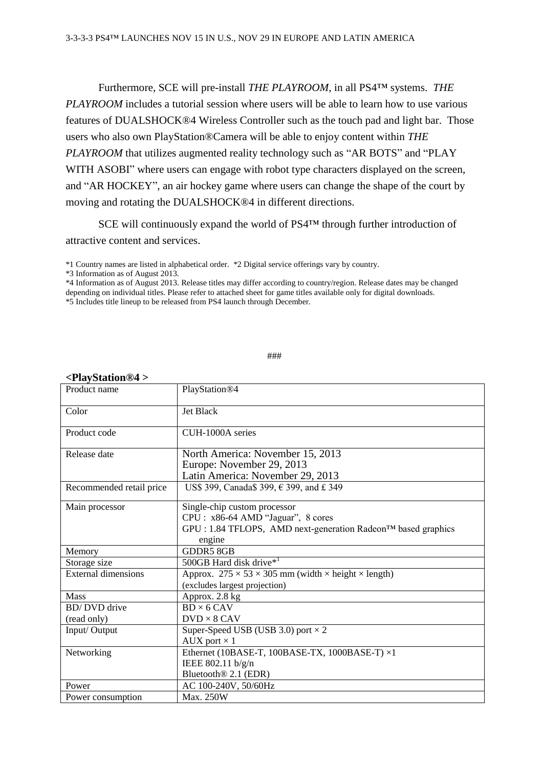Furthermore, SCE will pre-install *THE PLAYROOM*, in all PS4™ systems. *THE PLAYROOM* includes a tutorial session where users will be able to learn how to use various features of DUALSHOCK®4 Wireless Controller such as the touch pad and light bar. Those users who also own PlayStation®Camera will be able to enjoy content within *THE PLAYROOM* that utilizes augmented reality technology such as "AR BOTS" and "PLAY WITH ASOBI" where users can engage with robot type characters displayed on the screen, and "AR HOCKEY", an air hockey game where users can change the shape of the court by moving and rotating the DUALSHOCK®4 in different directions.

SCE will continuously expand the world of PS4™ through further introduction of attractive content and services.

\*4 Information as of August 2013. Release titles may differ according to country/region. Release dates may be changed depending on individual titles. Please refer to attached sheet for game titles available only for digital downloads. \*5 Includes title lineup to be released from PS4 launch through December.

###

| Product name               | PlayStation <sup>®4</sup>                                                                                                                     |  |  |
|----------------------------|-----------------------------------------------------------------------------------------------------------------------------------------------|--|--|
|                            |                                                                                                                                               |  |  |
| Color                      | <b>Jet Black</b>                                                                                                                              |  |  |
| Product code               | CUH-1000A series                                                                                                                              |  |  |
| Release date               | North America: November 15, 2013<br>Europe: November 29, 2013<br>Latin America: November 29, 2013                                             |  |  |
| Recommended retail price   | US\$ 399, Canada\$ 399, € 399, and £ 349                                                                                                      |  |  |
| Main processor             | Single-chip custom processor<br>CPU : x86-64 AMD "Jaguar", 8 cores<br>GPU : 1.84 TFLOPS, AMD next-generation Radeon™ based graphics<br>engine |  |  |
| Memory                     | <b>GDDR5 8GB</b>                                                                                                                              |  |  |
| Storage size               | 500GB Hard disk drive* <sup>1</sup>                                                                                                           |  |  |
| <b>External dimensions</b> | Approx. $275 \times 53 \times 305$ mm (width $\times$ height $\times$ length)<br>(excludes largest projection)                                |  |  |
| <b>Mass</b>                | Approx. 2.8 kg                                                                                                                                |  |  |
| <b>BD/DVD</b> drive        | $BD \times 6$ CAV                                                                                                                             |  |  |
| (read only)                | $DVD \times 8$ CAV                                                                                                                            |  |  |
| Input/Output               | Super-Speed USB (USB 3.0) port $\times$ 2                                                                                                     |  |  |
|                            | AUX port $\times$ 1                                                                                                                           |  |  |
| Networking                 | Ethernet (10BASE-T, 100BASE-TX, 1000BASE-T) $\times 1$                                                                                        |  |  |
|                            | IEEE 802.11 b/g/n                                                                                                                             |  |  |
|                            | Bluetooth <sup>®</sup> 2.1 (EDR)                                                                                                              |  |  |
| Power                      | AC 100-240V, 50/60Hz                                                                                                                          |  |  |
| Power consumption          | Max. 250W                                                                                                                                     |  |  |

## **<PlayStation®4 >**

<sup>\*1</sup> Country names are listed in alphabetical order. \*2 Digital service offerings vary by country.

<sup>\*3</sup> Information as of August 2013.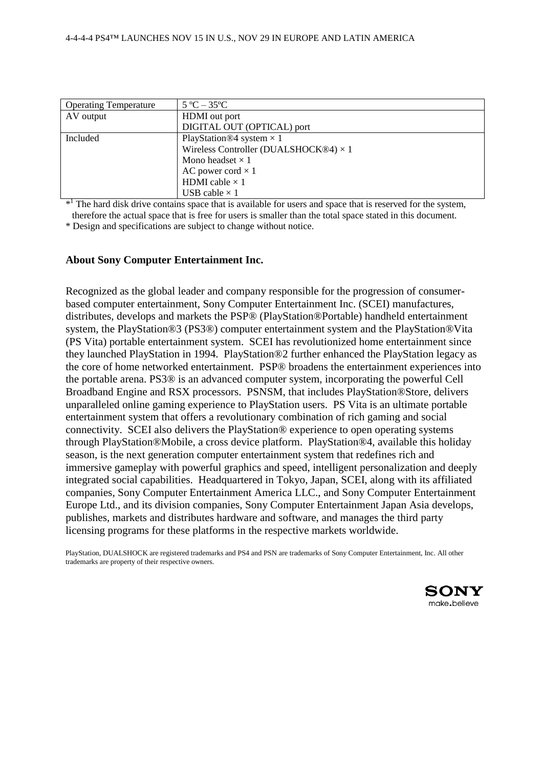| <b>Operating Temperature</b> | $5^{\circ}C - 35^{\circ}C$                   |  |  |
|------------------------------|----------------------------------------------|--|--|
| AV output                    | HDMI out port                                |  |  |
|                              | DIGITAL OUT (OPTICAL) port                   |  |  |
| Included                     | PlayStation <sup>®4</sup> system $\times$ 1  |  |  |
|                              | Wireless Controller (DUALSHOCK®4) $\times$ 1 |  |  |
|                              | Mono headset $\times$ 1                      |  |  |
|                              | AC power cord $\times$ 1                     |  |  |
|                              | HDMI cable $\times$ 1                        |  |  |
|                              | USB cable $\times$ 1                         |  |  |

\*<sup>1</sup> The hard disk drive contains space that is available for users and space that is reserved for the system, therefore the actual space that is free for users is smaller than the total space stated in this document.

\* Design and specifications are subject to change without notice.

## **About Sony Computer Entertainment Inc.**

Recognized as the global leader and company responsible for the progression of consumerbased computer entertainment, Sony Computer Entertainment Inc. (SCEI) manufactures, distributes, develops and markets the PSP® (PlayStation®Portable) handheld entertainment system, the PlayStation®3 (PS3®) computer entertainment system and the PlayStation®Vita (PS Vita) portable entertainment system. SCEI has revolutionized home entertainment since they launched PlayStation in 1994. PlayStation®2 further enhanced the PlayStation legacy as the core of home networked entertainment. PSP® broadens the entertainment experiences into the portable arena. PS3® is an advanced computer system, incorporating the powerful Cell Broadband Engine and RSX processors. PSNSM, that includes PlayStation®Store, delivers unparalleled online gaming experience to PlayStation users. PS Vita is an ultimate portable entertainment system that offers a revolutionary combination of rich gaming and social connectivity. SCEI also delivers the PlayStation® experience to open operating systems through PlayStation®Mobile, a cross device platform. PlayStation®4, available this holiday season, is the next generation computer entertainment system that redefines rich and immersive gameplay with powerful graphics and speed, intelligent personalization and deeply integrated social capabilities. Headquartered in Tokyo, Japan, SCEI, along with its affiliated companies, Sony Computer Entertainment America LLC., and Sony Computer Entertainment Europe Ltd., and its division companies, Sony Computer Entertainment Japan Asia develops, publishes, markets and distributes hardware and software, and manages the third party licensing programs for these platforms in the respective markets worldwide.

PlayStation, DUALSHOCK are registered trademarks and PS4 and PSN are trademarks of Sony Computer Entertainment, Inc. All other trademarks are property of their respective owners.